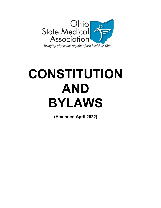

# **CONSTITUTION AND BYLAWS**

**(Amended April 2022)**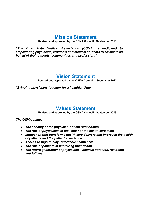# **Mission Statement**

**Revised and approved by the OSMA Council - September 2013**

*"The Ohio State Medical Association (OSMA) is dedicated to empowering physicians, residents and medical students to advocate on behalf of their patients, communities and profession."*

# **Vision Statement**

**Revised and approved by the OSMA Council – September 2013**

*"Bringing physicians together for a healthier Ohio.*

# **Values Statement**

**Revised and approved by the OSMA Council - September 2013**

*The OSMA values:*

- *The sanctity of the physician-patient relationship*
- *The role of physicians as the leader of the health care team*
- *Innovation that transforms health care delivery and improves the health of patients and the patient experience*
- *Access to high quality, affordable health care*
- *The role of patients in improving their health*
- *The future generation of physicians – medical students, residents, and fellows*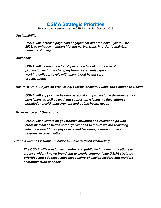# **OSMA Strategic Priorities**

**Revised and approved by the OSMA Council – October 2019**

# *Sustainability*

*OSMA will increase physician engagement over the next 3 years (2020- 2023) to enhance membership and partnerships in order to maintain financial stability*

# *Advocacy*

*OSMA will be the voice for physicians advocating the role of professionals in the changing health care landscape and working collaboratively with like-minded health care organizations* 

*Healthier Ohio: Physician Well-Being, Professionalism, Public and Population Health*

*OSMA will support the healthy personal and professional development of physicians as well as lead and support physicians as they address population health improvement and public health needs*

*Governance and Operations*

*OSMA will evaluate its governance structure and relationships with other medical societies and organizations to insure we are providing adequate input for all physicians and becoming a more nimble and responsive organization*

*Brand Awareness: Communications/Public Relations/Marketing*

*The OSMA will redesign its member and public facing communications to create a widely known brand and to clearly communicate OSMA strategic priorities and advocacy successes using physician leaders and multiple communication channels*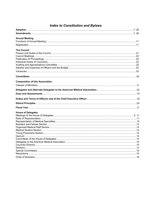# **Index to Constitution and Bylaws**

| <b>Annual Meeting</b>                  |  |
|----------------------------------------|--|
|                                        |  |
|                                        |  |
| <b>The Council</b>                     |  |
|                                        |  |
|                                        |  |
|                                        |  |
|                                        |  |
|                                        |  |
|                                        |  |
|                                        |  |
|                                        |  |
| <b>Composition of this Association</b> |  |
|                                        |  |
|                                        |  |
|                                        |  |
|                                        |  |
|                                        |  |
|                                        |  |
|                                        |  |
| <b>House of Delegates</b>              |  |
|                                        |  |
|                                        |  |
|                                        |  |
|                                        |  |
|                                        |  |
|                                        |  |
|                                        |  |
|                                        |  |
|                                        |  |
|                                        |  |
|                                        |  |
|                                        |  |
|                                        |  |
|                                        |  |
|                                        |  |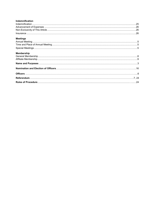| Indemnification   |  |
|-------------------|--|
|                   |  |
|                   |  |
|                   |  |
|                   |  |
| <b>Meetings</b>   |  |
|                   |  |
|                   |  |
|                   |  |
| <b>Membership</b> |  |
|                   |  |
|                   |  |
|                   |  |
|                   |  |
|                   |  |
|                   |  |
|                   |  |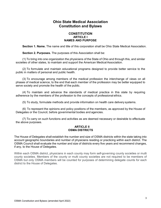# **Ohio State Medical Association Constitution and Bylaws**

# **CONSTITUTION ARTICLE I NAMES AND PURPOSE**

**Section 1. Name.** The name and title of this corporation shall be Ohio State Medical Association.

**Section 2. Purposes.** The purposes of this Association shall be:

(1) To bring into one organization the physicians of the State of Ohio and through this, and similar societies of other states, to maintain and support the American Medical Association.

(2) To formulate and maintain educational programs designed to provide better service to the public in matters of personal and public health.

(3) To encourage among members of the medical profession the interchange of views on all phases of medical science, to the end that each member of the profession may be better equipped to serve society and promote the health of the public.

(4) To maintain and advance the standards of medical practice in this state by requiring adherence by the members of the profession to the concepts of professional ethics.

(5) To study, formulate methods and provide information on health care delivery systems.

(6) To represent the opinions and policy positions of the members, as approved by the House of Delegates or the Council, before governmental bodies and agencies.

(7) To carry on such functions and activities as are deemed necessary or desirable to effectuate the above purposes.

# **ARTICLE II OSMA DISTRICTS**

The House of Delegates shall establish the number and size of OSMA districts within the state taking into account geographic boundaries and number of physicians residing or practicing within each district. The OSMA Council shall evaluate the number and size of districts every five years and recommend changes, if any, to the House of Delegates.

Within each OSMA district, physicians in each county may form self-governing county societies or multi county societies. Members of the county or multi county societies are not required to be members of OSMA but only OSMA members will be counted for purposes of determining delegate counts for each district to the House of Delegates.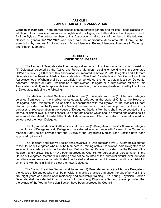#### **ARTICLE III COMPOSITION OF THIS ASSOCIATION**

**Classes of Members.** There are two classes of membership: general and affiliate. These classes, in addition to their associated membership rights and privileges, are further defined in Chapters 1 and 2 of the Bylaws. The voting members of this Association shall consist of members in the following classes of general membership who have paid the appropriate dues amounts, if any, to the association by January 31 of each year: Active Members, Retired Members, Members in Training, and Student Members.

#### **ARTICLE IV HOUSE OF DELEGATES**

The House of Delegates shall be the legislative body of this Association and shall consist of: (1) Delegates selected by the Active and Retired Members residing or working within designated OSMA districts; (2) Officers of this Association enumerated in Article VI; (3) Delegates and Alternate Delegates to the American Medical Association from Ohio, Past Presidents and Past Councilors of this Association each of whom shall be an ex-officio member without the right to vote unless such Delegate, Alternate Delegate or Past President be a duly elected Delegate or a duly elected officer of this Association; and (4) such representatives of other medical groups as may be determined by the House of Delegates, including the following:

The Medical Student Section shall have one (1) Delegate and one (1) Alternate Delegate selected from each of the medical or osteopathic colleges in the state of Ohio to the House of Delegates, said Delegates to be selected in accordance with the Bylaws of the Medical Student Section; provided that the Bylaws of the Medical Student Section have been approved by Council. For purposes of representation in the House of Delegates, Student Members shall not be counted at the individual district level, but shall constitute a separate section which shall be treated and seated as if it were an additional district in which the Student Members of each Ohio medical and osteopathic medical school elect their own Delegate.

The Organized MedicalStaff Section shall have one (1) Delegate and one (1) Alternate Delegate to the House of Delegates, said Delegate to be selected in accordance with Bylaws of the Organized Medical Staff Section; provided that the Bylaws of the Organized Medical Staff Section have been approved by Council.

The Resident and Fellows Section shall have five (5) Delegates and two (2) Alternate Delegates to the House of Delegates who must be Members in Training of this Association, said Delegates to be selected in accordance with the Resident and Fellows Section Bylaws; provided that the Bylaws of the Resident and Fellows Section have been approved by Council. For purposes of representation in the House of Delegates, Members in Training shall not be counted at the individual district level, but shall constitute a separate section which shall be treated and seated as if it were an additional district in which the Members in Training elect their own Delegates.

The Young Physician Section shall have one (1) Delegate and one (1) Alternate Delegate to the House of Delegates who must be physicians in active practice and under the age of forty or in the first eight years of practice after residency and fellowship training. The Young Physician Section Delegate shall be selected in accordance with the Young Physicians Section bylaws; provided that the bylaws of the Young Physician Section have been approved by Council.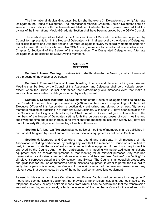The International Medical Graduates Section shall have one (1) Delegate and one (1) Alternate Delegate to the House of Delegates. The International Medical Graduate Section Delegates shall be selected in accordance with the International Medical Graduate Section bylaws; provided that the bylaws of the International Medical Graduate Section shall have been approved by the OSMA Council.

The medical specialties listed by the American Board of Medical Specialties and approved by Council for representation in the House of Delegates, with final approval by the House of Delegates, are eligible to have one Delegate and one Alternate Delegate for every 50 specialty members or portion thereof above 50 members who are also OSMA voting members to be selected in accordance with Chapter 5, Section 4 of the Bylaws of this Association. The Designated Delegate and Alternate Delegate must be certified as OSMA voting members.

#### **ARTICLE V MEETINGS**

**Section 1. Annual Meeting.** This Association shall hold an Annual Meeting at which there shall be a meeting of the House of Delegates.

**Section 2. Time and Place of Annual Meeting.** The time and place for holding each Annual Meeting shall be fixed by the Council of this Association and Delegates shall be physically present except when the OSMA Council determines that extraordinary circumstances exist that make it impossible or inadvisable for delegates to be physically present.

**Section 3. Special Meetings.** Special meetings of the House of Delegates shall be called by the President or other officer upon a two-thirds (2/3) vote of the Council or upon filing, with the Chief Executive Officer of this Association, a petition duly authorized and signed by at least fifty active members residing or practicing in at least two OSMA districts. Within ten (10) days after such action of the Council, or the filing of such petition, the Chief Executive Officer shall give written notice to the members of the House of Delegates setting forth the purpose or purposes of such meeting and specifying the time and place thereof, in no event shall the meeting be less than twenty (20) days nor more than sixty (60) days after the mailing of such written notice.

**Section 4.** At least ten (10) days advance notice of meetings of members shall be published in print or shall be given by use of authorized communications equipment as defined in Section 5.

**Section 5.** Members and Councilors may attend and participate in all meetings of this Association, including participation by casting any vote that the member or Councilor is qualified to cast, in person or via the use of authorized communication equipment if use of such equipment is approved by the Council. Any member participating in a meeting via authorized communications equipment shall be considered "present" at that meeting for all relevant purposes. Any recorded transmission by authorized communications equipment shall be considered "written" or a "writing" for all relevant purposes stated in the Constitution and Bylaws. The Council shall establish procedures and guidelines for the use of authorized communications equipment in order to permit the Council to verify that a person is a voting member and to maintain a record of the person's presence and any relevant vote that person casts by use of the authorized communications equipment.

As used in this section and these Constitution and Bylaws, "authorized communications equipment" means any communications equipment that provides a transmission, including, but not limited to, by telephone, telecopy, or any electronic means, from which it can be determined that the transmission was authorized by, and accurately reflects the intention of, the member or Councilor involved and, with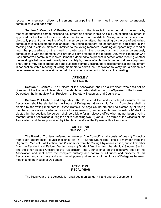respect to meetings, allows all persons participating in the meeting to contemporaneously communicate with each other.

**Section 6. Conduct of Meetings.** Meetings of the Association may be held in person or by means of authorized communications equipment as defined in this Article if use of such equipment is approved by the Council except as stated in Section 2 of this Article. Voting members who are not physically present at a meeting of voting members may attend the meeting by the use of authorized communications equipment that enables the voting members an opportunity to participate in the meeting and to vote on matters submitted to the voting members, including an opportunity to read or hear the proceedings of the meeting, participate in the proceedings, and contemporaneously communicate with the persons who are physically present at the meeting. Any voting member who uses authorized communications equipment is deemed to be present in person at the meeting whether the meeting is held at a designated place or solely by means of authorized communications equipment. The Council may adopt procedures and guidelines for the use of authorized communications equipment in connection with a meeting of voting members to permit the Association to verify that a person is a voting member and to maintain a record of any vote or other action taken at the meeting.

# **ARTICLE VI OFFICERS**

**Section 1. General.** The Officers of this Association shall be a President who shall act as Speaker of the House of Delegates, President-Elect who shall act as Vice-Speaker of the House of Delegates, the Immediate Past President, a Secretary-Treasurer, and Councilors.

**Section 2. Election and Eligibility.** The President-Elect and Secretary-Treasurer of this Association shall be elected by the House of Delegates. Geographic District Councilors shall be elected by the voting members in OSMA districts. At-large Councilors shall be elected by all voting members in a statewide election. Councilors representing sections authorized in Article IV shall be elected by the section. No person shall be eligible for an elective office who has not been a voting member of this Association during the entire preceding two (2) years. The terms of the Officers of this Association shall be as prescribed by Chapters 6 and 7 of the Bylaws of this Association.

#### **ARTICLE VII THE COUNCIL**

The Board of Trustees (referred to herein as "the Council") shall consist of one (1) Councilor from each geographical councilor district, six (6) At-Large Councilors, one (1) member from the Organized Medical Staff Section, one (1) member from the Young Physician Section, one (1) member from the Resident and Fellows Section, one (1) Student Member from the Medical Student Section and the other elected Officers of this Association. The Council shall be the executive body of this Association and shall have the complete custody and control of all funds and property of this Association and shall have and exercise full power and authority of the House of Delegates between meetings of the House of Delegates.

#### **ARTICLE VIII FISCAL YEAR**

The fiscal year of this Association shall begin on January 1 and end on December 31.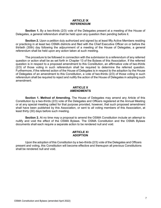#### **ARTICLE IX REFERENDUM**

**Section 1.** By a two-thirds (2/3) vote of the Delegates present at a meeting of the House of Delegates, a general referendum shall be held upon any question then pending before it.

**Section 2.** Upon a petition duly authorized and signed by at least fifty Active Members residing or practicing in at least two OSMA districts and filed with the Chief Executive Officer on or before the thirtieth (30th) day following the adjournment of a meeting of the House of Delegates, a general referendum shall be held upon any action taken at such meeting.

The procedure to be followed in connection with the submission to a referendum of any referred question or action shall be as set forth in Chapter 13 of the Bylaws of this Association. If the referred question is in respect to a proposed amendment to this Constitution, an affirmative vote of two-thirds (2/3) of those voting in such referendum shall be required to determine the referred question. Furthermore, if the referred action of the House of Delegates is in respect to the adoption by the House of Delegates of an amendment to this Constitution, a vote of two-thirds (2/3) of those voting in such referendum shall be required to reject and nullify the action of the House of Delegates in adopting such amendment.

# **ARTICLE X AMENDMENTS**

**Section 1. Method of Amending.** The House of Delegates may amend any Article of this Constitution by a two-thirds (2/3) vote of the Delegates and Officers registered at the Annual Meeting or at any special meeting called for that purpose provided, however, that such proposed amendment shall have been published by this Association, or sent to all voting members of this Association, at least thirty (30) days before such meeting.

**Section 2.** At no time may a proposal to amend the OSMA Constitution include an attempt to nullify and void the effect of the OSMA Bylaws. The OSMA Constitution and the OSMA Bylaws documents shall each require a separate action to be rendered null and void.

# **ARTICLE XI ADOPTION**

Upon the adoption of this Constitution by a two-thirds (2/3) vote of the Delegates and Officers present and voting, this Constitution will become effective and thereupon all previous Constitutions shall be rendered null and void.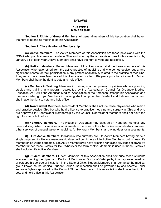# **BYLAWS**

#### **CHAPTER 1 MEMBERSHIP**

**Section 1. Rights of General Members.** All general members of this Association shall have the right to attend all meetings of this Association.

#### **Section 2. Classification of Membership.**

**(a) Active Members.** The Active Members of this Association are those physicians with the OSMA who practice, work or reside in Ohio and who pay the appropriate dues to this association by January 31 of each year. Active Members shall have the right to vote and hold office.

**(b) Retired Members.** Retired Members of this Association shall be those members of this Association who have retired from the active practice of medicine and who do not receive regular and significant income for their participation in any professional activity related to the practice of medicine. They must have been Members of this Association for ten (10) years prior to retirement. Retired Members shall have the right to vote and hold office.

**(c) Members in Training.** Members in Training shall comprise all physicians who are pursuing studies and training in a program accredited by the Accreditation Council for Graduate Medical Education (ACGME), the American Medical Association or the American Osteopathic Association and their associated groups. Members in Training shall comprise the Resident and Fellows Section and shall have the right to vote and hold office.

**(d) Nonresident Members.** Nonresident Members shall include those physicians who reside and practice outside Ohio but who hold a license to practice medicine and surgery in Ohio and who are approved for Nonresident Membership by the Council. Nonresident Members shall not have the right to vote or hold office.

**(e) Honorary Members.** The House of Delegates may elect as an Honorary Member any person distinguished for services or attainments in medicine or the allied sciences or who has rendered other services of unusual value to medicine. An Honorary Member shall pay no dues or assessments.

**(f) Life Active Members.** Individuals who currently are Life Active Members having made a single payment for lifetime membership dues will continue as Life Active Members, but no new life memberships will be permitted. Life Active Members will have all of the rights and privileges of an Active Member under these Bylaws for life. Wherever the term "Active Member" is used in these Bylaws it shall include Life Active Members.

**(g) Student Members.** Student Members of this Association shall comprise those students who are pursuing the diploma of Doctor of Medicine or Doctor of Osteopathy in an approved medical or osteopathic college or institution in the State of Ohio. Student Members shall comprise the medical group known as the Medical Student Section. Said section shall be governed by and operate under separate Bylaws approved by the Council. Student Members of this Association shall have the right to vote and hold office in this Association.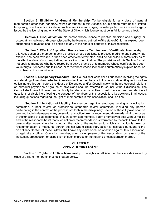**Section 3. Eligibility for General Membership.** To be eligible for any class of general membership other than honorary, retired or student in this Association, a person must hold a limited, temporary, or unlimited certificate to practice medicine and surgery, or osteopathic medicine and surgery, issued by the licensing authority of the State of Ohio, which license must be in full force and effect.

**Section 4. Disqualification.** No person whose license to practice medicine and surgery, or osteopathic medicine and surgery, issued by the licensing authority of the state of Ohio has expired, been suspended or revoked shall be entitled to any of the rights or benefits of this Association.

**Section 5. Effect of Expiration, Revocation, or Termination of Certificate.** Membership in this Association of a member in active practice whose certificate to practice medicine and surgery has expired, has been revoked, or has been otherwise terminated, shall be cancelled automatically as of the effective date of such expiration, revocation or termination. The provisions of this Section 5 shall not apply to members who have retired from active practice or to members whose certificate has been voluntarily surrendered due to illness, or to members whose license has automatically expired because of problems of communication.

**Section 6. Disciplinary Procedure.** The Council shall consider all questions involving the rights and standing of members, whether in relation to other members or to this association. All questions of an ethical nature brought before the House of Delegates and/or Council involving the professional relations of individual physicians or groups of physicians shall be referred to Council without discussion. The Council shall have full power and authority to refer to a committee or task force or hear and decide all questions of discipline affecting the conduct of members of this association. Its decisions in all cases, including questions regarding the right of membership in this association, shall be final.

**Section 7. Limitation of Liability.** No member, agent or employee serving on a utilization committee, a peer review or professional standards review committee, including any person participating in the context of the process set forth in the disciplinary Section of these Bylaws shall be deemed liable in damages to any person for any action taken or recommendation made within the scope of the functions of said committee, if such committee member, agent or employee acts without malice and in the reasonable belief that such action or recommendation is warranted by the facts known to the person after reasonable effort to obtain the facts of the matter as to which such action is taken or recommendation is made. No person against whom disciplinary action is instituted pursuant to the disciplinary Section of these Bylaws shall have any claim or cause of action against this Association, or against any officer, Councilor, member, agent or employee of this Association, by reason of the institution, prosecution, or disposition of such charges or the hearing or consideration thereof.

# **CHAPTER 2 AFFILIATE MEMBERSHIP**

**Section 1. Rights of Affiliate Membership.** The rights of affiliate members are delineated by class of affiliate membership as delineated below.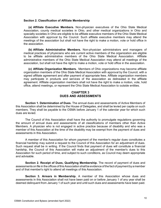#### **Section 2. Classification of Affiliate Membership**

**(a) Affiliate Executive Members.** Non-physician executives of the Ohio State Medical Association, county medical societies in Ohio, and other medical organizations in Ohio and specialty societies in Ohio are eligible to be affiliate executive members of the Ohio State Medical Association with approval by the Council. Such affiliate executive members may attend the meetings of the association but shall not have the right to make a motion, vote or hold office in the association.

**(b) Affiliate Administrative Members.** Non-physician administrators and managers of medical practices of physicians who are current active members of the organization are eligible to be affiliate administrative members of the Ohio State Medical Association. Affiliate administrative members of the Ohio State Medical Association may attend all meetings of the association, but shall not have the right to make a motion, vote or hold office in the association.

**(c) Affiliate Organization Members.** Members of Ohio organizations may become affiliate organization members of the Ohio State Medical Association with approval by the Council, with a signed affiliate agreement and after payment of appropriate fees. Affiliate organization members may participate in products and services of the association as delineated in the affiliate agreement. Affiliate organization members shall not have the right to make a motion, vote, hold office, attend meetings, or represent the Ohio State Medical Association to outside entities.

# **CHAPTER 3 DUES AND ASSESSMENTS**

**Section 1. Determination of Dues.** The annual dues and assessments of Active Members of this Association shall be determined by the House of Delegates, and shall be levied per capita on such members. They shall be payable to the OSMA before January 1 of the calendar year for which such dues are levied.

The Council of this Association shall have the authority to promulgate regulations governing the amount of annual dues and assessments of all classifications of members other than Active Members. A physician who is not engaged in active practice because of disability and who was a member of this Association at the time of the disability may be exempt from the payment of dues and assessments in this Association.

A member of this Association for whom payment of the member's regular dues constitutes a financial hardship may submit a request to the Council of this Association for an adjustment of dues. Such request shall be in writing. If the Council finds that payment of dues will constitute a financial hardship, the Council of this Association will make an adjustment of the member's dues to this Association for such period of time, and subject to such conditions, as Council may deem appropriate and advisable.

**Section 2. Receipt of Dues, Qualifying Membership.** The record of payment of dues and assessments on file in the offices of this Association shall be evidence of the fact of payment by a member and of that member's right to attend all meetings of this Association.

**Section 3. Arrears in Membership.** A member of this Association whose dues and assessments in this Association shall not have been paid on or before January 1 of any year shall be deemed delinquent from January 1 of such year and until such dues and assessments have been paid.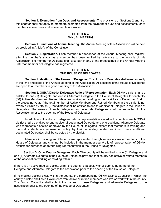**Section 4. Exemption from Dues and Assessments.** The provisions of Sections 2 and 3 of this chapter shall not apply to members exempted from the payment of dues and assessments, or to members whose dues and assessments are waived.

# **CHAPTER 4 ANNUAL MEETING**

**Section 1. Functions of Annual Meeting.** The Annual Meeting of this Association will be held as provided in Article V of the Constitution.

**Section 2. Registration.** Each member in attendance at the Annual Meeting shall register, after the member's status as a member has been verified by reference to the records of this Association. No member or Delegate shall take part in any of the proceedings of the Annual Meeting until that member or Delegate has registered.

#### **CHAPTER 5 THE HOUSE OF DELEGATES**

**Section 1. Meetings of the House of Delegates.** The House of Delegates shall meet annually at the time and place of the Annual Meeting of this Association. All sessions of the House of Delegates are open to all members in good standing of this Association.

**Section 2. OSMA District Delegates Ratio of Representation.** Each OSMA district shall be entitled to one (1) Delegate and one (1) Alternate Delegate in the House of Delegates for each fifty (50) Active Members and Retired Members working or residing in the district as of December 31st of the preceding year. If the total number of Active Members and Retired Members in the district is not evenly divisible by fifty (50), that district shall be entitled to one (1) additional Delegate in the House of Delegates. The names of such Delegates and Alternate Delegates shall be submitted to the Association prior to the opening of the House of Delegates.

In addition to the district Delegates ratio of representation stated in this section, each OSMA district shall be entitled to one additional designated Delegate and one additional Alternate Delegate who represents a section approved by the House of Delegates, except that members in training and medical students are represented solely by their separately seated sections. These additional designated Delegates shall be selected by the district.

Members in Training and Students are represented through separately seated sections of the House of Delegates and shall not be included in the member count/ratio of representation of OSMA districts for purposes of determining representation in the House of Delegates.

**Section 3. Ohio County Delegates.** Each Ohio county will be entitled to one (1) Delegate and one (1) Alternate Delegate in the House of Delegates provided that county has active or retired members of the association working or residing within it.

If there is an active medical society within the county, that society shall submit the name of the Delegate and Alternate Delegate to the association prior to the opening of the House of Delegates.

If no medical society exists within the county, the corresponding OSMA District Councilor in which the county is listed shall solicit volunteers from active or retired members who live or work within the county. The District Councilor shall submit the names of these Delegates and Alternate Delegates to the association prior to the opening of the House of Delegates.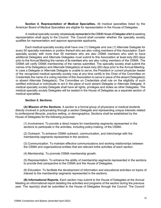**Section 4. Representation of Medical Specialties.** All medical specialties listed by the American Board of Medical Specialties are eligible for representation in the House of Delegates.

A medical specialty society not previously represented in the OSMA House of Delegates which is seeking representation shall apply to the Council. The Council shall consider whether the specialty society qualifies for representation and approve appropriate applicants.

Each medical specialty society shall have one (1) Delegate and one (1) Alternate Delegate for every 50 specialty members or portion thereof who are also voting members of this Association. Each specialty society with more than 50 members who are also OSMA members who wish to have additional Delegates and Alternate Delegates must submit to this Association at least sixty (60) days prior to the Annual Meeting the names of its members who are also voting members of the OSMA. The OSMA will verify OSMA membership of the names submitted. The specialty society shall submit the names of its Delegate(s) and Alternate Delegate(s) at least sixty (60) days prior to the Annual Meeting. In case a Delegate or Alternate Delegate is unable to serve, the President or current physician leader of the recognized medical specialty society may at any time certify to the Chair of the Committee on Credentials the name of a voting member of this Association to serve in place of the absent Delegate(s) or absent Alternate Delegate(s). The Committee on Credentials shall rule on the eligibility of such certified individual or individuals to act in the place of such absent Delegate or Alternate Delegate. A medical specialty society Delegate shall have all rights, privileges and duties as other Delegates. The medical specialty society Delegates will be seated in the House of Delegates as a separate section of medical specialties.

#### **Section 5. Sections.**

**(A) Mission of the Sections**. A section is a formal group of physicians or medical students directly involved in policymaking through a section Delegate and representing unique interests related to professional lifecycle, practice setting, or demographics. Sections shall be established by the House of Delegates for the following purposes:

(1) Involvement. To provide a direct means for membership segments represented in the sections to participate in the activities, including policy-making, of the OSMA.

(2) Outreach. To enhance OSMA outreach, communication, and interchange with the membership segments represented in the sections.

(3) Communication. To maintain effective communications and working relationships between the OSMA and organizational entities that are relevant tothe activities of each section.

(4) Membership. To promote OSMA membership growth.

(5) Representation. To enhance the ability of membership segments represented in the sections to provide their perspective to the OSMA and the House of Delegates.

(6) Education. To facilitate the development of information and educational activities on topics of interest to the membership segments represented in the sections.

**(B) Informational Reports.** Each section may submit to the House of Delegates at the Annual Meeting an informational report detailing the activities and programs of the section during the previous year. The report(s) shall be submitted to the House of Delegates through the Council. The Council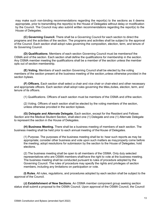may make such non-binding recommendations regarding the report(s) to the sections as it deems appropriate, prior to transmitting the report(s) to the House of Delegates without delay or modification by the Council. The Council may also submit written recommendations regarding the report(s) to the House of Delegates.

**(C) Governing Council.** There shall be a Governing Council for each section to direct the programs and the activities of the section. The programs and activities shall be subject to the approval of the Council. Each section shall adopt rules governing the composition, election, term, and tenure of its Governing Council.

**(D) Qualifications**. Members of each section Governing Council must be membersof the OSMA and of the section. Each section shall define the qualifications for membership in the section. Any OSMA member meeting the qualifications shall be a member of the section unless the member opts out of section membership.

**(E) Voting.** Members of each section Governing Council shall be elected by the voting members of the section present at the business meeting of the section,unless otherwise provided in the section bylaws.

**(F) Officers.** Each section shall select a chair and vice chair or chair-elect and other necessary and appropriate officers. Each section shall adopt rules governing the titles,duties, election, term, and tenure of its officers.

(1) Qualifications. Officers of each section must be members of the OSMA and of the section.

(2) Voting. Officers of each section shall be elected by the voting members of the section, unless otherwise provided in the section bylaws.

**(G) Delegate and Alternate Delegate.** Each section, except for the Resident and Fellows Section and the Medical Student Section, shall elect one (1) Delegate and one (1) Alternate Delegate to represent the section in the House of Delegates.

**(H) Business Meeting.** There shall be a business meeting of members of each section. The business meeting shall be held prior to each annual meeting of the House of Delegates.

(1) Purpose. The purposes of the business meeting shall be to: hear such reports as may be appropriate; consider other business and vote upon such matters as may properly come before the meeting; adopt resolutions for submission by the section to the House of Delegates; hold elections.

(2) The business meeting shall be open to all members of the OSMA. Only duly selected representatives who are OSMA members shall have the right to vote at the business meeting. The business meeting shall be conducted pursuant to rules of procedure adopted by the Governing Council. The rules of procedure may specify the rights and privileges of section members, including any limitations on participation or vote.

**(I) Rules.** All rules, regulations, and procedures adopted by each section shall be subject to the approval of the Council.

**(J) Establishment of New Sections.** An OSMA member component group seeking section status shall submit a proposal to the OSMA Council. Upon approval of the OSMA Council, the Council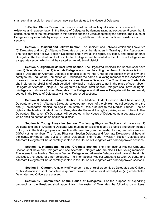shall submit a resolution seeking such new section status to the House of Delegates.

**(K) Section Status Review**. Each section shall reconfirm its qualifications for continued existence and representation in the House of Delegates by demonstrating at least every 5 years that it continues to meet the requirements in this section and the bylaws adopted by the section. The House of Delegates may establish, by adoption of a resolution, additional criteria for continued existence of sections.

**Section 6. Resident and Fellows Section.** The Resident and Fellows Section shall have five (5) Delegates and two (2) Alternate Delegates who must be Members in Training of this Association. The Resident and Fellows Section Delegates shall have all the rights, privileges, and duties of other Delegates. The Resident and Fellows Section Delegates will be seated in the House of Delegates as a separate section which shall be seated as an additional district.

**Section 7. Organized Medical Staff Section.** The Organized Medical Staff Section shall have one (1) Delegate and one (1) Alternate Delegate who must be voting members of this Association. In case a Delegate or Alternate Delegate is unable to serve, the Chair of the section may at any time certify to the Chair of the Committee on Credentials the name of a voting member of this Association to serve in place of the absent Delegate or absent Alternate Delegate. The Committee on Credentials shall rule on the eligibility of such certified individual or individuals to act in the place of such absent Delegate or Alternate Delegate. The Organized Medical Staff Section Delegate shall have all rights, privileges and duties of other Delegates. The Delegate and Alternate Delegate will be separately seated in the House of Delegates with other approved sections.

**Section 8. Medical Student Section.** The Medical Student Section shall have one (1) Delegate and one (1) Alternate Delegate selected from each of the six (6) medical colleges and the one (1) osteopathic medical college in the State of Ohio pursuant to the Medical Student Section Bylaws. The Medical Student Section Delegates shall have all the rights, privileges and duties of other Delegates. The seven (7) Delegates will be seated in the House of Delegates as a separate section which shall be seated as an additional district.

**Section 9. Young Physician Section.** The Young Physician Section shall have one (1) Delegate and one (1) Alternate Delegate who must be physicians in active practice and under the age of forty or in the first eight years of practice after residency and fellowship training and who are also OSMA voting members. The Young Physician Section Delegate and Alternate Delegate shall have all the rights, privileges, and duties of other Delegates. The Young Physician Section Delegate and Alternate Delegate will be separately seated in the House of Delegates with other approved sections.

**Section 10. International Medical Graduate Section.** The International Medical Graduate Section shall have one Delegate and one Alternate Delegate who are also OSMA voting members. The International Medical Graduate Section Delegate and Alternate Delegate shall have all the rights, privileges, and duties of other delegates. The International Medical Graduate Section Delegate and Alternate Delegate will be separately seated in the House of Delegates with other approved sections.

**Section 11. Quorum.** A majority (fifty percent plus one) of credentialed Delegates and Officers of this Association shall constitute a quorum provided that at least seventy-five (75) credentialed Delegates and Officers are present.

**Section 12. Committees of the House of Delegates.** For the purpose of expediting proceedings, the President shall appoint from the roster of Delegates the following committees: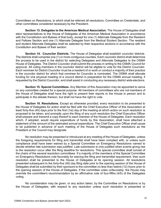Committees on Resolutions, to which shall be referred all resolutions; Committee on Credentials; and other committees considered necessary by the President.

**Section 13. Delegates to the American Medical Association.** The House of Delegates shall elect representatives to the House of Delegates of the American Medical Association in accordance with the Constitution and Bylaws of that body, except for one (1) Alternate Delegate from the Resident and Fellows Section and one (1) Alternate Delegate from the Medical Student Section. The resident and student Alternate Delegates shall be selected by their respective sections in accordance with the Constitution and Bylaws of their section.

**Section 14. Councilor Districts.** The House of Delegates shall establish councilor districts. The districts shall comprise one (1) or more contiguous counties. Each councilor district shall determine the process to be used in the district for selecting Delegates and Alternate Delegates to the OSMA House of Delegates. The District Councilor shall submit the process in writing to the OSMA Council for approval. All voting members in the councilor district will be eligible to vote for the District Councilor. Each nominee for District Councilor must be a resident of or work or conduct a majority of their practice in the councilor district for which that nominee for Councilor is nominated. The OSMA shall allocate funding for one physical meeting of a council district in preparation for the OSMA annual meeting, if requested by the District Councilor, and shall assist in conducting any necessary district wide elections.

**Section 15. Special Committees.** Any Member of this Association may be appointed to serve on any committee created for a special purpose. All members of committees who are not members of the House of Delegates shall have the right to present their reports to the House in person and to participate in the debate thereon, but shall not have the right to vote.

**Section 16. Resolutions.** Except as otherwise provided, every resolution to be presented to the House of Delegates for action shall be filed with the Chief Executive Officer of this Association at least forty-five (45) days prior to the first (1st) day of the meeting at which action on such resolution is proposed to be taken; and promptly upon the filing of any such resolution the Chief Executive Officer shall prepare and transmit a copy thereof to each member of the House of Delegates. Each resolution which, if adopted, would require expenditure of funds by this Association, shall have attached a statement of the amount of the estimated annual expenditure. The Chief Executive Officer shall cause to be published in advance of such meeting of the House of Delegates such resolutions as the President or the Council may designate.

No resolution may be presented or introduced at any meeting of the House of Delegates, unless the foregoing requirements for filing and transmittal shall have been complied with, or unless such compliance shall have been waived by a Special Committee on Emergency Resolutions named to decide whether late submission was justified. Late submission is only justified when events giving rise to the resolution occur after the filing deadline for resolutions. This special committee shall consist of the chairs of the several resolution committees. If a majority of the members of the Special Committee on Emergency Resolutions vote favorably for waiving the filing and transmittal requirement, then such resolution shall be presented to the House of Delegates at its opening session. All resolutions presented subsequent to the forty-five (45) day filing date prior to the opening session of the House of Delegates shall be submitted by their sponsors to the committee no less than twelve (12) hours prior to the opening session of the House of Delegates. If the committee votes unfavorably, the House may override the committee's recommendation by an affirmative vote of four-fifths (4/5) of the Delegates voting.

No consideration may be given, or any action taken, by the Committee on Resolutions or by the House of Delegates, with respect to any resolution unless such resolution is presented or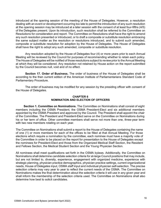introduced at the opening session of the meeting of the House of Delegates. However, a resolution dealing with an event or development occurring too late to permit the introduction of any such resolution at the opening session may be introduced at a later session with the consent of at least four-fifths (4/5) of the Delegates present. Upon its introduction, such resolution shall be referred to the Committee on Resolutions for consideration and report. The Committee on Resolutions shall have the right to amend any such resolution presented or introduced, or to draft a composite or substitute resolution embracing the same subject matter as the resolution or resolutions introduced, and to submit such amended, composite or substitute resolution for adoption by the House of Delegates. The House of Delegates shall have the right to adopt any such amended, composite or substitute resolution.

Any resolution adopted by the House of Delegates four (4) or more years prior to each Annual Meeting will be reviewed by the Council for purposes of recommending whether to retain each policy. The House of Delegates will be notified of those resolutions subject to review prior to the Annual Meeting at which they will be considered. Any resolution not retained by House action on the report submitted by the Council becomes null, void and of no effect.

**Section 17. Order of Business.** The order of business of the House of Delegates shall be according to the then current edition of the American Institute of Parliamentarians Standard Code of Parliamentary Procedure.

The order of business may be modified for any session by the presiding officer with consent of the House of Delegates.

#### **CHAPTER 6 NOMINATION AND ELECTION OF OFFICERS**

**Section 1. Committee on Nominations.** The Committee on Nominations shall consist of eight members including the OSMA President, the OSMA President-Elect and six additional members appointed by the OSMA President and approved by the Council. The President shall appoint the chair of the Committee. The President and President-Elect serve on the Committee on Nominations during his or her term of office. Other committee members shall serve not more than one, three-year term with two new members rotating on each year.

The Committee on Nominations shall submit a report to the House of Delegates containing the name of one (1) or more members for each of the offices to be filled at that Annual Meeting. For those elections which require a nomination by the committee, each nominee must have a majority vote of the Committee in order to be placed on the report for presentation to the House of Delegates except the nominees for President-Elect and those from the Organized Medical Staff Section, the Resident and Fellows Section, the Medical Student Section and the Young Physician Section.

All nominees shall meet qualifications set forth in the OSMA bylaws. Additionally, the Committee on Nominations shall determine candidate selection criteria for at-large Council positions that may include, but are not limited to, diversity, experience, engagement with organized medicine, experience with strategic planning, physician practice demographics, physician practice settings, current organizational needs, House of Delegates input, OSMA staff input and individual physician self-selection. The precise selection criteria may vary year to year to reflect the current needs of the OSMA. The Committee on Nominations makes the final determination about the selection criteria it will use in any given year and shall inform the membership of the selection criteria used. The Committee on Nominations shall also determine how best to solicit candidates.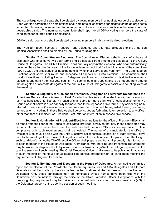The six at-large council seats shall be elected by voting members in annual statewide direct elections. Each year the committee on nominations shall nominate at least three candidates for the at-large seats to be filled; however, not more than two at-large councilors can reside or practice in the same councilor geographic district. The nominating committee shall report to all OSMA voting members the slate of candidates for at-large councilor elections.

OSMA district councilors shall be elected by voting members in district-wide direct elections.

The President-Elect, Secretary-Treasurer, and delegates and alternate delegates to the American Medical Association shall be elected by the House of Delegates.

**Section 2. Committee on Elections.** The Committee on Elections shall consist of a chair and vice-chair who shall serve two-year terms and be selected from among the delegates to the OSMA House of Delegates. The OSMA President shall annually appoint the vice-chair who shall automatically become chair after the first year of the two year term; except that for the initial year of the committee (2021-2022), the president shall appoint the chair who shall serve a one year term. The Committee on Elections shall serve year round and supervise all aspects of OSMA elections. The committee shall conduct elections, including House of Delegates elections and statewide or district-wide electronic elections, and certify the final vote counts. The committee shall appoint tellers as needed from among the delegates or alternate delegates at the annual House of Delegates to assist with counting votes at the meeting.

**Section 3. Eligibility for Reelection of Officers, Delegates and Alternate Delegates to the American Medical Association.** No Past President of this Association shall be eligible for election as President-Elect. No Secretary-Treasurer shall serve for more than two (2) consecutive terms. No Councilor shall serve in such capacity for more than three (3) consecutive terms. Any officer originally elected to serve one (1) year or less of an unexpired term shall not be regarded thereby as having served a term. Nothing in these Bylaws shall be construed as forbidding later reelection to any office, other than that of President or President-Elect, after an interruption in consecutive service.

**Section 4. Nomination of President-Elect.** Nominations for the office of President-Elect shall be made from the floor of the House of Delegates; provided, however, that only those candidates may be nominated whose names have been filed with the Chief Executive Officer as herein provided, unless compliance with such requirements shall be waived. The name of a candidate for the office of President-Elect must be filed with the Chief Executive Officer of this Association at least sixty (60) days prior to the meeting of the House of Delegates at which the election is to take place. Upon the filing of such candidate's name, the Chief Executive Officer shall prepare and transmit promptly this information to each member of the House of Delegates. Compliance with the filing and transmittal requirements may be waived or dispensed with by a vote of at least two-thirds (2/3) of the Delegates present at the opening session of such meeting. The Chief Executive Officer shall cause to be published in advance of such meeting of the House of Delegates biographical information on all candidates meeting the requirements of filing and transmittal.

**Section 5. Nomination and Elections at the House of Delegates.** A nominating committee report for the election of the President-Elect, Secretary-Treasurer and AMA Delegates and Alternate Delegates shall be made by the Committee on Nominations at the first session of the House of Delegates. Only those candidates may be nominated whose names have been filed with the Committee on Nominations through the office of the Chief Executive Officer. Compliance with the foregoing filing requirement may be waived or dispensed with by a vote of at least two-thirds (2/3) of the Delegates present at the opening session of such meeting.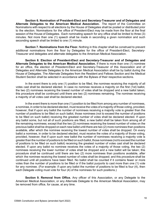**Section 6. Nomination of President-Elect and Secretary-Treasurer and of Delegates and Alternate Delegates to the American Medical Association.** The report of the Committee on Nominations with respect to all elections by the House of Delegates shall be posted or distributed prior to the election. Nominations for the office of President-Elect may be made from the floor at the final session of the House of Delegates. Each nominating speech for any office shall be limited to three (3) minutes. Not more than one (1) speech shall be made in seconding a given nomination and such seconding speech shall be limited to one (1) minute.

**Section 7. Nominations from the Floor.** Nothing in this chapter shall be construed to prevent additional nominations from the floor by Delegates for the office of President-Elect, Secretary-Treasurer and delegates and alternate delegates to the American Medical Association.

**Section 8. Election of President-Elect and Secretary-Treasurer and of Delegates and Alternate Delegates to the American Medical Association.** If there is more than one (1) nominee for an office, the election of President-Elect and Secretary-Treasurer of this Association and of Delegates and Alternate Delegates to the American Medical Association shall be by ballot during the House of Delegates. The Alternate Delegates from the Resident and Fellows Section and the Medical Student Section shall be selected in accordance with the Bylaws of their respective sections.

In the event there is only one (1) position to be filled, the nominee receiving the majority of all votes cast shall be declared elected. In case no nominee receives a majority on the first (1st) ballot, the two (2) nominees receiving the lowest number of votes shall be dropped and a new ballot taken; this procedure shall be continued until there are two (2) nominees remaining. The nominee receiving a majority of all votes cast shall be declared elected.

In the event there is more than one (1) position to be filled from among any number of nominees, a nominee, in order to be declared elected, mustreceive the votes of a majority of those voting, provided, however, that if upon any ballot the number of nominees receiving a majority vote is greater than the number of positions to be filled on such ballot, those nominees (not to exceed the number of positions to be filled on such ballot) receiving the greatest number of votes shall be declared elected. If upon any ballot some, but not all of such positions are filled, a new ballot shall be taken from among all of the remaining nominees; except that the two (2) nominees receiving the lowest number of votes on the previous ballot shall be dropped on each new ballot until there are two (2) more nominees than positions available, after which the nominee receiving the lowest number of votes shall be dropped. On every ballot a nominee, in order to be declared elected, must receive the votes of a majority of those voting, provided, however, that if upon such new ballot the number of nominees receiving a majority vote is greaterthan the numberof positions to be filled on such ballot, those nominees (notto exceed the number of positions to be filled on such ballot) receiving the greatest number of votes cast shall be declared elected. If upon any ballot no nominee receives the votes of a majority of those voting, the two (2) nominees receiving the lower number of votes shall be dropped and a new ballot will be taken; this procedure shall be continued until there are two (2) more nominees than positions available, after which the nominee receiving the lowest number of votes shall be dropped; and this procedure shall be continued until all positions have been filled. No ballot shall be counted if it contains fewer or more votes than the number of positions to be filled or if the ballot purports to cast more than one (1) vote for any nominee. (For example: if upon any ballot the number of positions to be filled is four (4), then each Delegate voting must vote for four (4) of the nominees for such positions.)

**Section 9. Removal from Office.** Any officer of this Association, or any Delegate to the American Medical Association, or any Alternate Delegate to the American Medical Association, may be removed from office, for cause, at any time.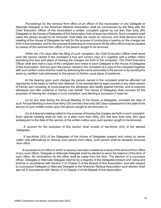Proceedings for the removal from office of an officer of this Association or any Delegate or Alternate Delegate to the American Medical Association shall be commenced by the filing with the Chief Executive Officer of this Association a written complaint signed by not less than sixty (60) Delegates to the House of Delegates of this Association from at least two districts. Such complaint shall name the person sought to be removed, shall state the cause for removal, and shall demand that a meeting of the House of Delegates be held for the purpose of conducting a hearing on the charges set forth in the complaint, and for the purpose of selecting an individual to fill the office which may be vacated by reason of the removal from office of the person sought to be removed.

Within ten (10) days after the filing of such complaint, the Chief Executive Officer shall serve upon the person named in the complaint a true and correct copy of it, together with a written notice specifying the time and place of hearing the charges set forth in the complaint. The Chief Executive Officer shall also mail a copy of the complaint and notice to each Delegate to the House of Delegates of this Association. Service upon the person named in the complaint of a copy of the complaint together with such written notice shall be made by delivering the same personally to the person or by sending the same by certified mail addressed to the person at his/her usual place of residence.

At the hearing upon such charges the person named in the complaint shall be afforded full opportunity to be heard in his/her own defense, to be represented by legal counsel or any other person of his/her own choosing, to cross-examine the witnesses who testify against him/her, and to examine witnesses and offer evidence in his/her own behalf. The House of Delegates shall convene for the purposes of hearing the charges in such complaint, and electing a successor if need be:

(a) on any date during the Annual Meeting of the House of Delegates, provided the date of such Annual Meeting is more than thirty (30) and less than sixty (60) days subsequent to the date of the service of such written notice upon the person sought to be removed; or

(b) at a special meeting called for the purpose of hearing the charges set forth in such complaint. Such special meeting shall be held on a date more than thirty (30) and less than sixty (60) days subsequent to the date of the service of the written notice upon such person sought to beremoved.

A quorum for the purposes of this section shall consist of two-thirds (2/3) of the elected Delegates.

If two-thirds (2/3) of the Delegates of the House of Delegates present and voting by secret ballot vote affirmatively to remove such person from office, such person shall be declared removed from office.

A successor to an office in which a vacancy has been created as a result of the removal from office of any such officer, Delegate or Alternate Delegate shall be elected to serve the balance of the term of such office. All nominations for the office shall be made from the floor. The election of a successor officer, Delegate or Alternate Delegate shall be by a majority of the Delegates present and voting and shall be in accordance with Section 5 of Chapter 5 of the Bylaws of this Association, and with respect to a successor Delegate or Alternate Delegate to the American Medical Association such election shall also be in accordance with Section 5 of Chapter 5 of the Bylaws of this Association.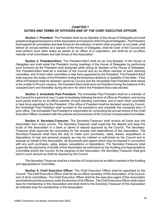# **CHAPTER 7 DUTIES AND TERMS OF OFFICERS AND OF THE CHIEF EXECUTIVE OFFICER**

**Section 1. President.** The President shall act as Speaker of the House of Delegates and shall preside at all general sessions of this Association and sessions of the House of Delegates. The President shall appoint all committees and task forces for the selection of which other provision is not made, shall deliver an annual address at a session of the House of Delegates, shall be Chair of the Council and shall perform such other duties as pertain to an officer of a corporation, and shall be an ex-officio member of all committees and task forces of this Association.

**Section 2. President-Elect.** The President-Elect shall act as Vice-Speaker of the House of Delegates and shall assist the President during meetings of the House of Delegates by performing such functions as the President shall designate while acting as Speaker of the House of Delegates. The President-Elect shall be a member of the Council and an ex-officio member of each standing committee, and of each other committee or task force appointed by the President. The President-Elect shall assume the duties of the President during the temporary absence or disability of the latter. If the office of President shall be declared vacant by Council and the Immediate Past President shall refuse or be unable to fill such vacancy, the President-Elect shall serve as President during the balance of the unexpired term and thereafter during the term for which the President-Elect was elected.

**Section 3. Immediate Past President.** The Immediate Past President shall be a member of the Council for a period of one (1) year immediately following the term of office as President, and during such period shall be an ex-officio member of each standing committee, and of each other committee or task force appointed by the President. If the office of President shall be declared vacant by Council, the Immediate Past President shall succeed to the presidency and complete the unexpired term of such office. The Immediate Past President is responsible for conducting the annual review of the Chief Executive Officer consistent with the policies and procedures of the Council CompensationCommittee.

**Section 4. Secretary-Treasurer.** The Secretary-Treasurer shall receive all funds due this Association from every source. The Secretary-Treasurer shall supervise the deposit and keep the funds of this Association in a bank or banks of deposit approved by the Council. The Secretary-Treasurer shall supervise the accounting for the receipts and expenditures of this Association. The Secretary-Treasurer shall have the duty to make such purchases, sales, leases, acquisitions or dispositions of real and personal property as may be ordered or authorized by the Council and to execute on behalf of this Association, all documents and papers which may be required in connection with any such purchases, sales, leases, acquisitions or dispositions. The Secretary-Treasurer shall supervise the payments of all bills of this Association as authorized by the Auditing and Appropriations Committee and/or the Council. At the expense of this Association, the Secretary-Treasurer shall give bond in such amount as shall be required by the Council.

The Secretary-Treasurer shall be a member of Council and an ex-officio member of the Auditing and Appropriations Committee.

**Section 5. Chief Executive Officer.** The Chief Executive Officer shall be appointed by the Council. The Chief Executive Officer shall be the ex-officio secretary of this Association, of its Council, and of all its committees. The Chief Executive Officer shall be the executive agent of this Association and shall transact its business underthe direction of its Officers. The Chief Executive Officer shall collect dues for membership in this Association and shall remit to the Secretary-Treasurer of this Association all collected dues for membership in this Association.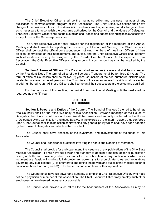The Chief Executive Officer shall be the managing editor and business manager of any publication or communications program of this Association. The Chief Executive Officer shall have charge of the business offices of this Association and may employ, supervise, and discharge such aid as is necessary to accomplish the programs authorized by the Council and the House of Delegates. The Chief Executive Officer shall be the custodian of all books and papers belonging to this Association except those of the Secretary-Treasurer.

The Chief Executive Officer shall provide for the registration of the members at the Annual Meeting and shall provide for reporting the proceedings of the Annual Meeting. The Chief Executive Officer shall conduct the official correspondence, notifying members of meetings, Officers of their election, committees of their appointments and duties, and the Chief Executive Officer shall perform such other duties as may be assigned by the President or the Council. At the expense of this Association, the Chief Executive Officer shall give bond in such amount as shall be required by the Council.

**Section 6. Terms of Officers.** The President shall serve one (1) year and shall be succeeded by the President-Elect. The term of office of the Secretary-Treasurer shall be for three (3) years. The term of office of Councilors shall be for two (2) years. Councilors of the odd-numbered districts shall be elected in even-numbered years and the Councilors of the even-numbered districts shall be elected in odd-numbered years. All these Officers shall serve until their successors are elected and qualified.

For the purposes of this section, the period from one Annual Meeting until the next shall be regarded as one (1) year.

#### **CHAPTER 8 THE COUNCIL**

**Section 1. Powers and Duties of the Council.** The Board of Trustees (referred to herein as "the Council") shall be the executive body of this Association. Between meetings of the House of Delegates, the Council shall have and exercise all the powers and authority conferred on the House of Delegates by the Constitution and these Bylaws. In the exercise of the interim powers thus conferred upon it, the Council shall take no action contravening any general policy which shall have been adopted by the House of Delegates and which is then in effect.

The Council shall have direction of the investment and reinvestment of the funds of this Association.

The Council shall consider all questions involving the rights and standing of members.

The Council shall provide for and superintend the issuance of any publications of the Ohio State Medical Association. It shall have full power and authority to appoint a medical editor or publication board, or both, and make any other provisions for the publication of any publications which in its judgment are feasible including full discretionary power: (1) to promulgate rules and regulations governing any publications; (2) to enumerate and define the powers and duties of the medical editor or publication board, or both; and (3) to fix the terms and conditions of their appointment.

The Council shall have full power and authority to employ a Chief Executive Officer, who need not be a physician or member of this Association. The Chief Executive Officer may employ such other employees as are deemed necessary or advisable.

The Council shall provide such offices for the headquarters of this Association as may be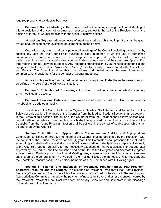required properly to conduct its business.

**Section 2. Council Meetings.** The Council shall hold meetings during the Annual Meeting of this Association and at such other times as necessary, subject to the call of the President or on the petition of three (3) Councilors filed with the Chief Executive Officer.

At least ten (10) days advance notice of meetings shall be published in print or shall be given by use of authorized communications equipment as defined below.

Councilors may attend and participate in all meetings of the Council, including participation by casting any vote that the Councilor is qualified to cast, in person or via the use of authorized communication equipment, if use of such equipment is approved by the Council. Councilors participating in a meeting via authorized communications equipment shall be considered "present" at that meeting for all relevant purposes. Any recorded transmission by authorized communications equipment shall be considered "written" or a "writing" for all relevant purposes stated in the Constitution and Bylaws. The Council shall establish procedures and guidelines for the use of authorized communications equipment for the conduct of Council meetings.

As used in this section, "authorized communications equipment" shall have the same meaning as defined in Article V of the OSMA Constitution.

**Section 3. Publication of Proceedings.** The Council shall cause to be published a summary of its meetings and actions.

**Section 4. Individual Duties of Councilors.** Councilor duties shall be outlined in a councilor handbook and updated annually.

The duties of the Councilor from the Organized Medical Staff Section shall be set forth in the Bylaws of said section. The duties of the Councilor from the Medical Student Section shall be set forth in the Bylaws of said section. The duties of the Councilor from the Resident and Fellows Section shall be set forth in the Bylaws of said section, which shall be approved by the Council. The duties of the Councilor from the Young Physician Section shall be set forth in the bylaws of said section, which shall be approved by the Council.

**Section 5. Auditing and Appropriations Committee.** An Auditing and Appropriations Committee, consisting of three (3) members of the Council shall be appointed by the President, with the consent of the Council, to serve for one (1) year. This Committee shall prescribe the method of accounting and shall audit any and all accounts of this Association. It shall prepare and present annually to the Council a budget providing for the necessary expenses of this Association. The budget, after approval by the Council, shall be published and distributed to the Delegates and Alternate Delegates at least ninety (90) days prior to the Annual Meeting. Any surplus or balance of funds for a given year shall revert to the general fund. The President, the President-Elect, the Immediate Past President and the Secretary-Treasurer shall be ex-officio members of such Committee with full voting rights.

**Section 6. Salaries and Expenses of President, President-Elect, Past-President, Secretary-Treasurer and the Budget.** The stipends of President, President-Elect, Past-President, Secretary-Treasurer and the budget of this Association shall be fixed by the Council. The Auditing and Appropriations Committee may allow the payment of necessary travel and other expenses incurred by the President, President-Elect, Past-President, Secretary-Treasurer and Councilors in the discharge of their duties to this Association.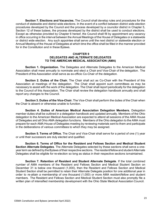**Section 7. Elections and Vacancies.** The Council shall develop rules and procedures for the conduct of statewide and district wide elections. In the event of a conflict between district wide election procedures developed by the Council and the process developed by a councilor district in Chapter 5, Section 12 of these bylaws, the process developed by the district shall be used to conduct elections. Except as otherwise provided by Chapter 6 hereof, the Council shall fill by appointment any vacancy in office occurring in the interval between the Annual Meetings of the House of Delegates or a statewide or district wide election. Any such appointee shall serve until the next district or statewide election or Annual Meeting of the House of Delegates at which time the office shall be filled in the manner provided for in the Constitution and in these Bylaws.

#### **CHAPTER 9 DELEGATES AND ALTERNATE DELEGATES TO THE AMERICAN MEDICAL ASSOCIATION (AMA)**

**Section 1. Organization.** The Delegates and Alternate Delegates to the American Medical Association shall meet annually to nominate and elect a Chair and Vice-Chair of the delegation. The President of this Association shall serve as ex-officio Co-Chair of the delegation.

**Section 2. Duties of the Chair.** The Chair shall act as Co-Chair with the President of this Association at meetings of the delegation. The Chair shall appoint such committees as may be necessary to assist with the work of the delegation. The Chair shall report periodically for the delegation to the Council of this Association. The Chair shall review the delegation handbook annually and shall report any changes to the Council.

**Section 3. Duties of the Vice-Chair.** The Vice-Chair shall perform the duties of the Chair when the Chair is absent or otherwise unable to function.

**Section 4. Duties of American Medical Association Delegation Members.** Delegation member duties shall be outlined in a delegation handbook and updated annually. Members of the Ohio delegation to the American Medical Association are expected to attend all sessions of the AMA House of Delegates and all Ohio AMA delegation functions. Members of the Ohio delegation to the AMA must prepare for each AMA House of Delegates meeting by reviewing materials sent to them and participate in the deliberations of various committees to which they may be assigned.

**Section 5. Terms of Office.** The Chair and Vice-Chair shall serve for a period of one (1) year or until their successors are duly elected and qualified.

**Section 6. Terms of Office for the Resident and Fellows Section and Medical Student Section Alternate Delegates**. The Alternate Delegates selected by these sections shall serve a oneyear term as defined by the Bylaws of their respective sections. The resident/fellow and student Alternate Delegates shall be eligible for re-election so long as status in their respective sections ismaintained.

**Section 7. Retention of Resident and Student Alternate Delegate**. If the total combined number of AMA members of the Resident and Fellows Section and Medical Student Section on December 31 is below one thousand (1,000), then the Resident and Fellows Section and Medical Student Section shall be permitted to retain their Alternate Delegate position for one additional year in order to re-attain a membership of one thousand (1,000) or more AMA resident/fellow and student members. The Resident and Fellows Section and Medical Student Section must also promptly file a written plan of intensified membership development with the Ohio State Medical Association Council.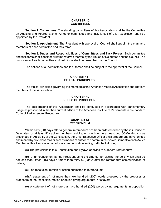#### **CHAPTER 10 COMMITTEES**

**Section 1. Committees.** The standing committees of this Association shall be the Committee on Auditing and Appropriations. All other committees and task forces of this Association shall be appointed by the President.

**Section 2. Appointment.** The President with approval of Council shall appoint the chair and members of each committee and task force.

**Section 3. Duties and Responsibilities of Committees and Task Forces.** Each committee and task force shall consider all items referred thereto by the House of Delegates and the Council. The purpose(s) of each committee and task force shall be prescribed by the Council.

The actions of all committees and task forces shall be subject to the approval of the Council.

#### **CHAPTER 11 ETHICAL PRINCIPLES**

The ethical principles governing the members of the American Medical Association shall govern members of this Association.

#### **CHAPTER 12 RULES OF PROCEDURE**

The deliberations of this Association shall be conducted in accordance with parliamentary usage as prescribed in the then current edition of the American Institute of Parliamentarians Standard Code of Parliamentary Procedure

#### **CHAPTER 13 REFERENDUM**

Within sixty (60) days after a general referendum has been ordered either by the (1) House of Delegates, or at least fifty active members residing or practicing in at least two OSMA districts as prescribed in Article IX of the Constitution, the Chief Executive Officer shall prepare and have printed and mailed by first-class mail or sent by means of authorized communications equipment to each Active Member of this Association an official communication setting forth the following:

(a) The provisions in this Constitution and Bylaws applying to a generalreferendum;

(b) An announcement by the President as to the time set for closing the polls which shall be not less than fifteen (15) days or more than thirty (30) days after the referendum communication of ballots;

(c) The resolution, motion or action submitted to referendum;

(d) A statement of not more than two hundred (200) words prepared by the proposer or proposers of the resolution, motion or action giving arguments in its favor;

(e) A statement of not more than two hundred (200) words giving arguments in opposition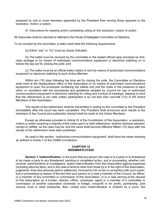prepared by one or more members appointed by the President from among those opposed to the resolution, motion or action;

(f) Instructions for replying and/or completing voting on the resolution, motion or action.

All responses shall be returned or referred to the House of Delegates Committee on Elections.

To be counted by the committee, a ballot shall meet the following requirements:

(a) Either "yes" or "no" must be clearly indicated;

(b) The ballot must be received by the committee in the sealed official reply envelope by firstclass postage or by means of authorized communications equipment or electronic balloting on or before the day set for closing the polls; and

(c) The ballot must be an official ballot mailed or sent by means of authorized communications equipment or electronic balloting to each Active Member.

Within ten (10) days following the time set for closing the polls, the Committee on Elections shall meet at the headquarters office of this Association or by means of authorized communications equipment to open the envelopes containing the ballots and poll the votes in the presence of each other, or consistent with the procedures and guidelines adopted by Council for use of authorized communications equipment or electronic balloting for voting and conduct of meetings, keeping in mind that the referendum is not valid unless participated in by not less than one-half (1/2) of the Active Members of this Association.

The results of the referendum shall be transmitted in writing by the committee to the President immediately after the count has been completed. The President shall announce such results to the members of the Council and publication thereof shall be made to the Active Members.

Except as otherwise provided in Article IX of the Constitution of this Association, a resolution, motion or action receiving a majority of the votes cast in a valid referendum, shall be declared adopted, carried or ratified, as the case may be, and the same shall become effective fifteen (15) days after the results of the referendum have been published.

As used in this section, "authorized communications equipment" shall have the same meaning as defined in Article V of the OSMA Constitution.

#### **CHAPTER 14 INDEMNIFICATION**

**Section 1. Indemnification.** In the event that any person who was or is a party or is threatened to be made a party to any threatened, pending or completed action, suit or proceeding, whether civil, criminal, administrative or investigative, seeks indemnification from this Association against expenses (including attorney fees), and in the case of actions other than those by or in the right of this Association, judgments, fines and amounts paid in settlement, incurred by him or her in connection with such action, suit or proceeding by reason of the fact that such person is or was a member of the Council, an officer, or a member of any committee or commission of this Association, or is or was serving at the request of this Association as a trustee, director, officer, employee, agent or a member of a committee or commission of another corporation (domestic or foreign, nonprofit or for profit), partnership, joint venture, trust or other enterprise, then, unless such indemnification is ordered by a court, this